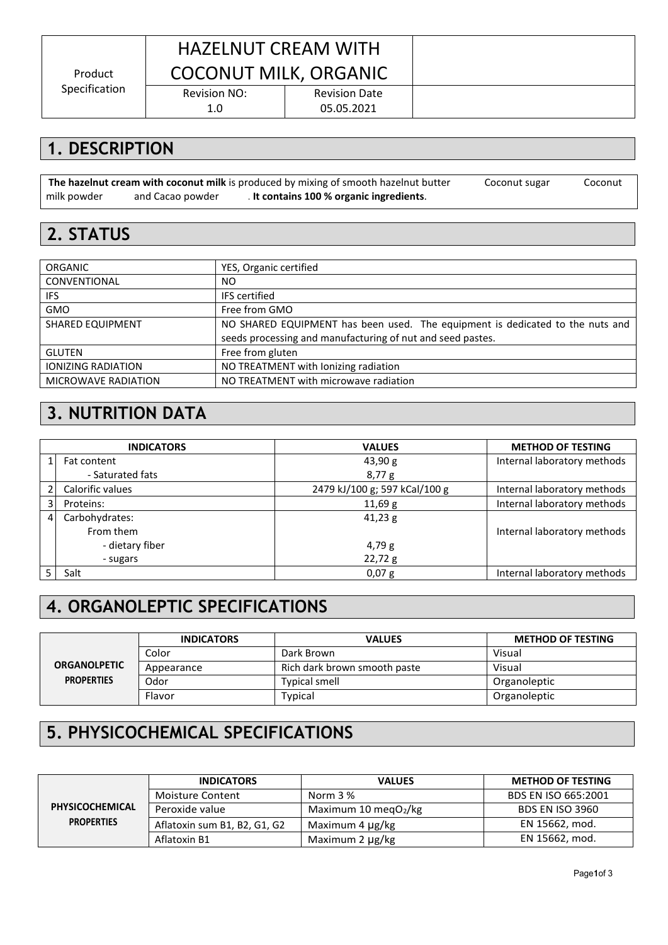Product Specification

## HAZELNUT CREAM WITH COCONUT MILK, ORGANIC

Revision NO: 1.0

Revision Date 05.05.2021

**1. DESCRIPTION**

**The hazelnut cream with coconut milk** is produced by mixing of smooth hazelnut butter (54%), Coconut sugar (20%), Coconut milk powder (14%) and Cacao powder (10%). **It contains 100 % organic ingredients**.

#### **2. STATUS**

| <b>ORGANIC</b>             | YES, Organic certified                                                        |
|----------------------------|-------------------------------------------------------------------------------|
| CONVENTIONAL               | NO.                                                                           |
| IFS.                       | <b>IFS</b> certified                                                          |
| <b>GMO</b>                 | Free from GMO                                                                 |
| <b>SHARED EQUIPMENT</b>    | NO SHARED EQUIPMENT has been used. The equipment is dedicated to the nuts and |
|                            | seeds processing and manufacturing of nut and seed pastes.                    |
| <b>GLUTEN</b>              | Free from gluten                                                              |
| <b>IONIZING RADIATION</b>  | NO TREATMENT with lonizing radiation                                          |
| <b>MICROWAVE RADIATION</b> | NO TREATMENT with microwave radiation                                         |

### **3. NUTRITION DATA**

|                | <b>INDICATORS</b>      | <b>VALUES</b>                 | <b>METHOD OF TESTING</b>    |
|----------------|------------------------|-------------------------------|-----------------------------|
|                | 43,90 g<br>Fat content |                               | Internal laboratory methods |
|                | - Saturated fats       | 8,77g                         |                             |
| 21             | Calorific values       | 2479 kJ/100 g; 597 kCal/100 g | Internal laboratory methods |
| 31             | Proteins:              | 11,69 g                       | Internal laboratory methods |
| $\overline{4}$ | Carbohydrates:         | 41,23g                        |                             |
|                | From them              |                               | Internal laboratory methods |
|                | - dietary fiber        | 4,79g                         |                             |
|                | - sugars               | 22,72g                        |                             |
|                | Salt                   | $0,07$ g                      | Internal laboratory methods |

### **4. ORGANOLEPTIC SPECIFICATIONS**

|                                          | <b>INDICATORS</b> | <b>VALUES</b>                | <b>METHOD OF TESTING</b> |  |
|------------------------------------------|-------------------|------------------------------|--------------------------|--|
| <b>ORGANOLPETIC</b><br><b>PROPERTIES</b> | Color             | Dark Brown                   | Visual                   |  |
|                                          | Appearance        | Rich dark brown smooth paste | Visual                   |  |
|                                          | Odor              | <b>Typical smell</b>         | Organoleptic             |  |
|                                          | Flavor            | Typical                      | Organoleptic             |  |

### **5. PHYSICOCHEMICAL SPECIFICATIONS**

|                   | <b>INDICATORS</b>            | <b>VALUES</b>            | <b>METHOD OF TESTING</b> |
|-------------------|------------------------------|--------------------------|--------------------------|
|                   | <b>Moisture Content</b>      | Norm 3 %                 | BDS EN ISO 665:2001      |
| PHYSICOCHEMICAL   | Peroxide value               | Maximum 10 megO $_2$ /kg | <b>BDS EN ISO 3960</b>   |
| <b>PROPERTIES</b> | Aflatoxin sum B1, B2, G1, G2 | Maximum 4 µg/kg          | EN 15662, mod.           |
|                   | Aflatoxin B1                 | Maximum 2 µg/kg          | EN 15662, mod.           |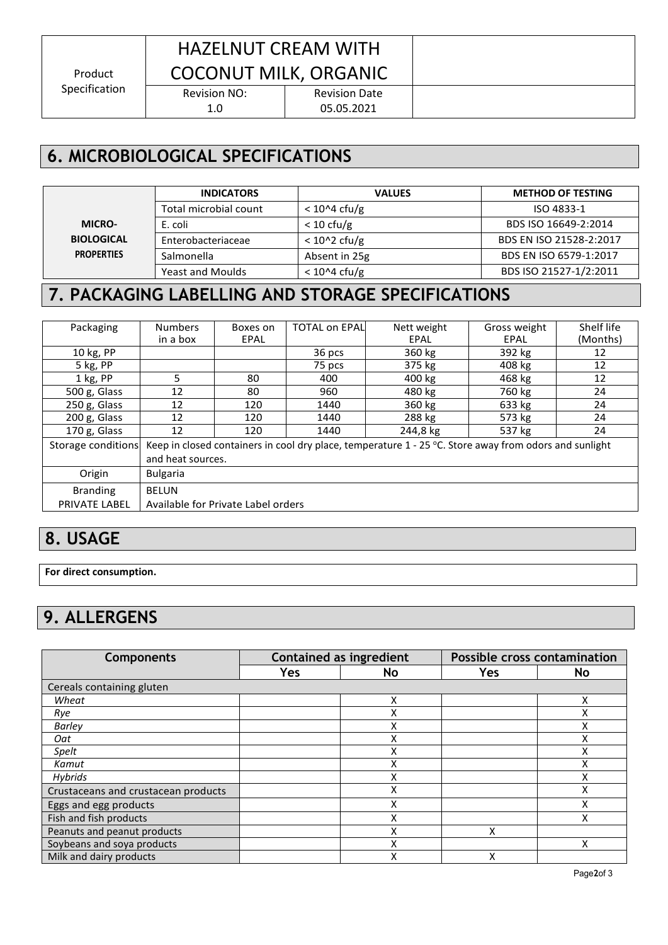Product Specification

# HAZELNUT CREAM WITH COCONUT MILK, ORGANIC

Revision NO:

Revision Date 05.05.2021

## **6. MICROBIOLOGICAL SPECIFICATIONS**

1.0

|                   | <b>INDICATORS</b>       | <b>VALUES</b>        | <b>METHOD OF TESTING</b> |
|-------------------|-------------------------|----------------------|--------------------------|
|                   | Total microbial count   | $< 10^{6}4$ cfu/g    | ISO 4833-1               |
| <b>MICRO-</b>     | E. coli                 | $< 10 \text{ cfu/g}$ | BDS ISO 16649-2:2014     |
| <b>BIOLOGICAL</b> | Enterobacteriaceae      | $< 102$ cfu/g        | BDS EN ISO 21528-2:2017  |
| <b>PROPERTIES</b> | Salmonella              | Absent in 25g        | BDS EN ISO 6579-1:2017   |
|                   | <b>Yeast and Moulds</b> | $< 10^2$ 4 cfu/g     | BDS ISO 21527-1/2:2011   |

## **7. PACKAGING LABELLING AND STORAGE SPECIFICATIONS**

| Packaging          | <b>Numbers</b>                                                                                           | Boxes on | <b>TOTAL on EPAL</b> | Nett weight | Gross weight | Shelf life |
|--------------------|----------------------------------------------------------------------------------------------------------|----------|----------------------|-------------|--------------|------------|
|                    | in a box                                                                                                 | EPAL     |                      | EPAL        | EPAL         | (Months)   |
| 10 kg, PP          |                                                                                                          |          | 36 pcs               | 360 kg      | 392 kg       | 12         |
| 5 kg, PP           |                                                                                                          |          | 75 pcs               | 375 kg      | 408 kg       | 12         |
| $1$ kg, PP         | 5.                                                                                                       | 80       | 400                  | 400 kg      | 468 kg       | 12         |
| 500 g, Glass       | 12                                                                                                       | 80       | 960                  | 480 kg      | 760 kg       | 24         |
| 250 g, Glass       | 12                                                                                                       | 120      | 1440                 | 360 kg      | 633 kg       | 24         |
| 200 g, Glass       | 12                                                                                                       | 120      | 1440                 | 288 kg      | 573 kg       | 24         |
| 170 g, Glass       | 12                                                                                                       | 120      | 1440                 | 244,8 kg    | 537 kg       | 24         |
| Storage conditions | Keep in closed containers in cool dry place, temperature $1 - 25$ °C. Store away from odors and sunlight |          |                      |             |              |            |
|                    | and heat sources.                                                                                        |          |                      |             |              |            |
| Origin             | <b>Bulgaria</b>                                                                                          |          |                      |             |              |            |
| <b>Branding</b>    | <b>BELUN</b>                                                                                             |          |                      |             |              |            |
| PRIVATE LABEL      | Available for Private Label orders                                                                       |          |                      |             |              |            |

### **8. USAGE**

**For direct consumption.**

## **9. ALLERGENS**

| <b>Components</b>                   | <b>Contained as ingredient</b> |    | Possible cross contamination |    |  |  |  |  |
|-------------------------------------|--------------------------------|----|------------------------------|----|--|--|--|--|
|                                     | Yes                            | No | <b>Yes</b>                   | No |  |  |  |  |
| Cereals containing gluten           |                                |    |                              |    |  |  |  |  |
| Wheat                               |                                | Χ  |                              | x  |  |  |  |  |
| Rye                                 |                                |    |                              |    |  |  |  |  |
| <b>Barley</b>                       |                                |    |                              |    |  |  |  |  |
| Oat                                 |                                |    |                              |    |  |  |  |  |
| Spelt                               |                                |    |                              |    |  |  |  |  |
| Kamut                               |                                | Χ  |                              | v  |  |  |  |  |
| <b>Hybrids</b>                      |                                |    |                              |    |  |  |  |  |
| Crustaceans and crustacean products |                                | Χ  |                              | Χ  |  |  |  |  |
| Eggs and egg products               |                                | X  |                              | x  |  |  |  |  |
| Fish and fish products              |                                |    |                              | Χ  |  |  |  |  |
| Peanuts and peanut products         |                                |    | Χ                            |    |  |  |  |  |
| Soybeans and soya products          |                                |    |                              | x  |  |  |  |  |
| Milk and dairy products             |                                |    | χ                            |    |  |  |  |  |